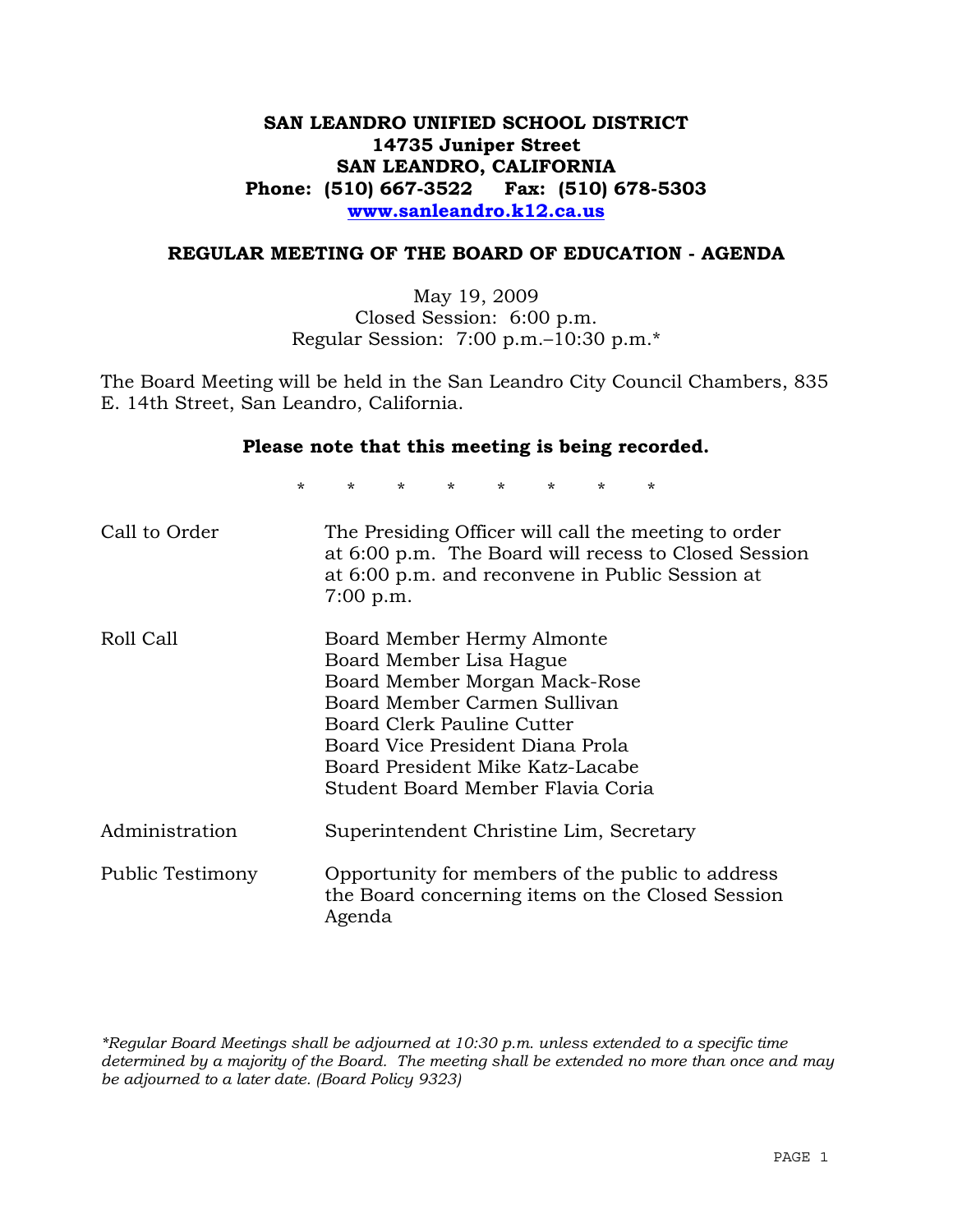# **SAN LEANDRO UNIFIED SCHOOL DISTRICT 14735 Juniper Street SAN LEANDRO, CALIFORNIA Phone: (510) 667-3522 Fax: (510) 678-5303 www.sanleandro.k12.ca.us**

#### **REGULAR MEETING OF THE BOARD OF EDUCATION - AGENDA**

May 19, 2009 Closed Session: 6:00 p.m. Regular Session: 7:00 p.m.–10:30 p.m.\*

The Board Meeting will be held in the San Leandro City Council Chambers, 835 E. 14th Street, San Leandro, California.

#### **Please note that this meeting is being recorded.**

\* \* \* \* \* \* \* \*

| Call to Order    | The Presiding Officer will call the meeting to order<br>at 6:00 p.m. The Board will recess to Closed Session<br>at 6:00 p.m. and reconvene in Public Session at<br>$7:00$ p.m.                                                                                    |
|------------------|-------------------------------------------------------------------------------------------------------------------------------------------------------------------------------------------------------------------------------------------------------------------|
| Roll Call        | Board Member Hermy Almonte<br>Board Member Lisa Hague<br>Board Member Morgan Mack-Rose<br>Board Member Carmen Sullivan<br>Board Clerk Pauline Cutter<br>Board Vice President Diana Prola<br>Board President Mike Katz-Lacabe<br>Student Board Member Flavia Coria |
| Administration   | Superintendent Christine Lim, Secretary                                                                                                                                                                                                                           |
| Public Testimony | Opportunity for members of the public to address<br>the Board concerning items on the Closed Session<br>Agenda                                                                                                                                                    |

*\*Regular Board Meetings shall be adjourned at 10:30 p.m. unless extended to a specific time determined by a majority of the Board. The meeting shall be extended no more than once and may be adjourned to a later date. (Board Policy 9323)*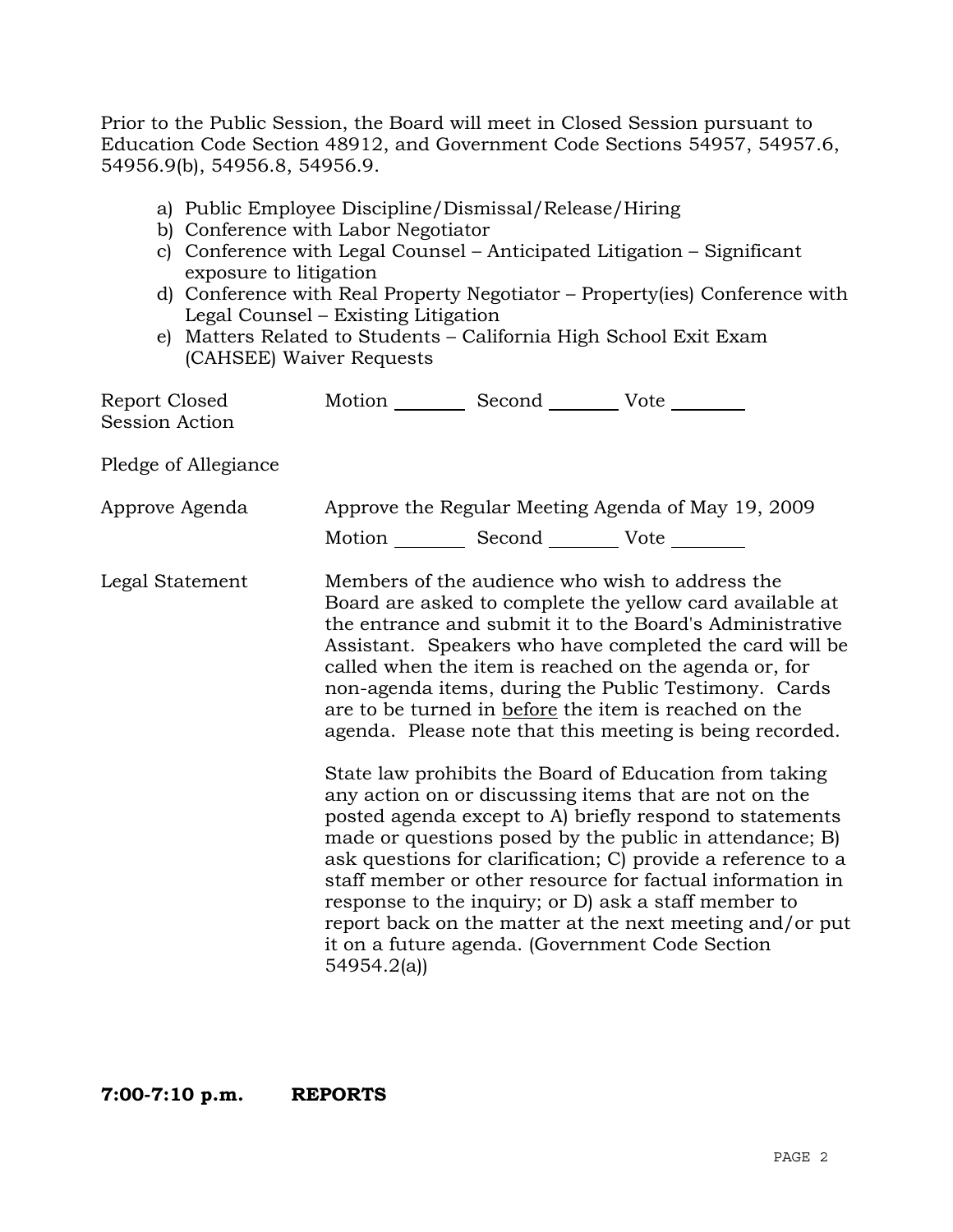Prior to the Public Session, the Board will meet in Closed Session pursuant to Education Code Section 48912, and Government Code Sections 54957, 54957.6, 54956.9(b), 54956.8, 54956.9.

- a) Public Employee Discipline/Dismissal/Release/Hiring
- b) Conference with Labor Negotiator
- c) Conference with Legal Counsel Anticipated Litigation Significant exposure to litigation
- d) Conference with Real Property Negotiator Property(ies) Conference with Legal Counsel – Existing Litigation
- e) Matters Related to Students California High School Exit Exam (CAHSEE) Waiver Requests

| Report Closed<br><b>Session Action</b> | Motion _________ Second _________ Vote ________   |                                                                                                                                                                                                                                                                                                                                                                                                                                                                                                                                                                                                                                                                                                                    |
|----------------------------------------|---------------------------------------------------|--------------------------------------------------------------------------------------------------------------------------------------------------------------------------------------------------------------------------------------------------------------------------------------------------------------------------------------------------------------------------------------------------------------------------------------------------------------------------------------------------------------------------------------------------------------------------------------------------------------------------------------------------------------------------------------------------------------------|
| Pledge of Allegiance                   |                                                   |                                                                                                                                                                                                                                                                                                                                                                                                                                                                                                                                                                                                                                                                                                                    |
| Approve Agenda                         | Motion __________ Second __________ Vote ________ | Approve the Regular Meeting Agenda of May 19, 2009                                                                                                                                                                                                                                                                                                                                                                                                                                                                                                                                                                                                                                                                 |
| Legal Statement                        |                                                   | Members of the audience who wish to address the<br>Board are asked to complete the yellow card available at<br>the entrance and submit it to the Board's Administrative<br>Assistant. Speakers who have completed the card will be<br>called when the item is reached on the agenda or, for<br>non-agenda items, during the Public Testimony. Cards<br>are to be turned in before the item is reached on the<br>agenda. Please note that this meeting is being recorded.<br>State law prohibits the Board of Education from taking<br>any action on or discussing items that are not on the<br>posted agenda except to A) briefly respond to statements<br>made or questions posed by the public in attendance; B) |
|                                        | 54954.2(a)                                        | ask questions for clarification; C) provide a reference to a<br>staff member or other resource for factual information in<br>response to the inquiry; or D) ask a staff member to<br>report back on the matter at the next meeting and/or put<br>it on a future agenda. (Government Code Section                                                                                                                                                                                                                                                                                                                                                                                                                   |

**7:00-7:10 p.m. REPORTS**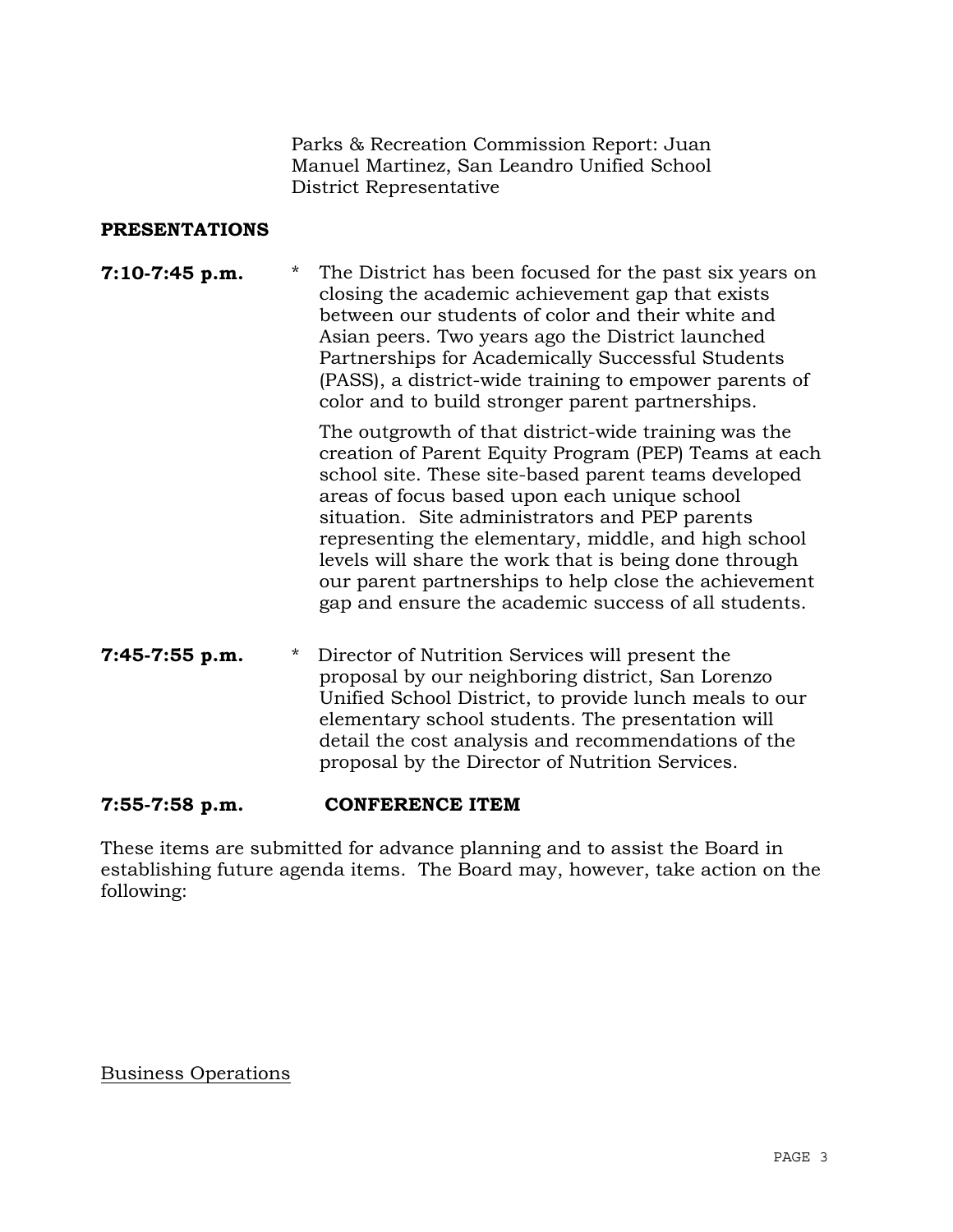Parks & Recreation Commission Report: Juan Manuel Martinez, San Leandro Unified School District Representative

#### **PRESENTATIONS**

**7:10-7:45 p.m.** \* The District has been focused for the past six years on closing the academic achievement gap that exists between our students of color and their white and Asian peers. Two years ago the District launched Partnerships for Academically Successful Students (PASS), a district-wide training to empower parents of color and to build stronger parent partnerships.

> The outgrowth of that district-wide training was the creation of Parent Equity Program (PEP) Teams at each school site. These site-based parent teams developed areas of focus based upon each unique school situation. Site administrators and PEP parents representing the elementary, middle, and high school levels will share the work that is being done through our parent partnerships to help close the achievement gap and ensure the academic success of all students.

**7:45-7:55 p.m.** \* Director of Nutrition Services will present the proposal by our neighboring district, San Lorenzo Unified School District, to provide lunch meals to our elementary school students. The presentation will detail the cost analysis and recommendations of the proposal by the Director of Nutrition Services.

# **7:55-7:58 p.m. CONFERENCE ITEM**

These items are submitted for advance planning and to assist the Board in establishing future agenda items. The Board may, however, take action on the following:

Business Operations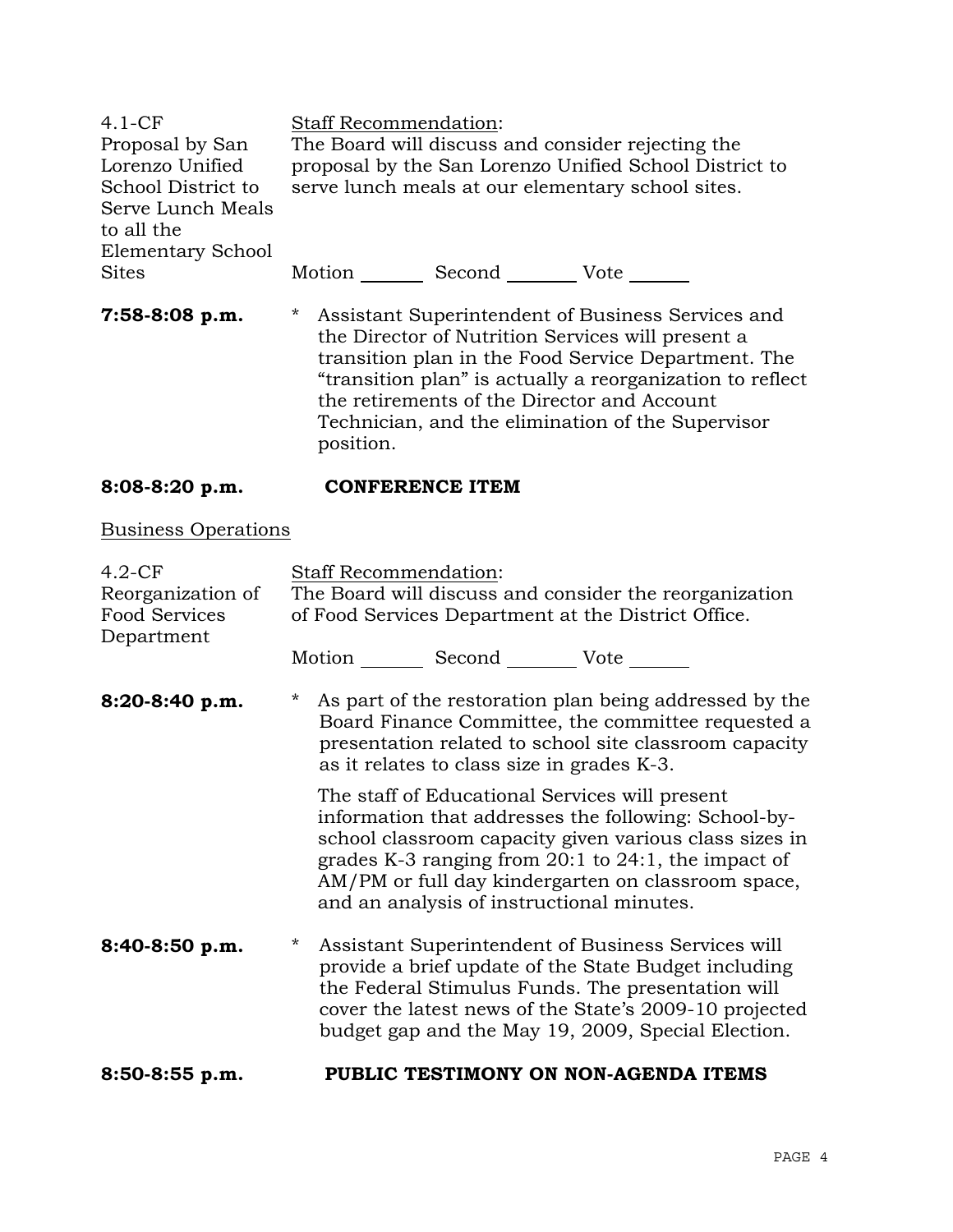| $4.1 - CF$<br>Proposal by San<br>Lorenzo Unified<br>School District to<br>Serve Lunch Meals<br>to all the |                      | Staff Recommendation:                      | The Board will discuss and consider rejecting the<br>proposal by the San Lorenzo Unified School District to<br>serve lunch meals at our elementary school sites.                                                                                                                                                               |  |
|-----------------------------------------------------------------------------------------------------------|----------------------|--------------------------------------------|--------------------------------------------------------------------------------------------------------------------------------------------------------------------------------------------------------------------------------------------------------------------------------------------------------------------------------|--|
| <b>Elementary School</b><br><b>Sites</b>                                                                  |                      |                                            | Motion _________ Second __________ Vote _______                                                                                                                                                                                                                                                                                |  |
| 7:58-8:08 p.m.                                                                                            | $\star$<br>position. |                                            | Assistant Superintendent of Business Services and<br>the Director of Nutrition Services will present a<br>transition plan in the Food Service Department. The<br>"transition plan" is actually a reorganization to reflect<br>the retirements of the Director and Account<br>Technician, and the elimination of the Supervisor |  |
| 8:08-8:20 p.m.                                                                                            |                      | <b>CONFERENCE ITEM</b>                     |                                                                                                                                                                                                                                                                                                                                |  |
| <b>Business Operations</b>                                                                                |                      |                                            |                                                                                                                                                                                                                                                                                                                                |  |
| $4.2-CF$<br>Reorganization of<br><b>Food Services</b><br>Department                                       |                      | Staff Recommendation:                      | The Board will discuss and consider the reorganization<br>of Food Services Department at the District Office.                                                                                                                                                                                                                  |  |
|                                                                                                           |                      |                                            | Motion _________ Second __________ Vote _______                                                                                                                                                                                                                                                                                |  |
| 8:20-8:40 p.m.                                                                                            | $\star$              | as it relates to class size in grades K-3. | As part of the restoration plan being addressed by the<br>Board Finance Committee, the committee requested a<br>presentation related to school site classroom capacity                                                                                                                                                         |  |
|                                                                                                           |                      |                                            | The staff of Educational Services will present<br>information that addresses the following: School-by-<br>school classroom capacity given various class sizes in<br>grades K-3 ranging from 20:1 to 24:1, the impact of<br>AM/PM or full day kindergarten on classroom space,<br>and an analysis of instructional minutes.     |  |
| 8:40-8:50 p.m.                                                                                            | *                    |                                            | Assistant Superintendent of Business Services will<br>provide a brief update of the State Budget including<br>the Federal Stimulus Funds. The presentation will<br>cover the latest news of the State's 2009-10 projected<br>budget gap and the May 19, 2009, Special Election.                                                |  |

# **8:50-8:55 p.m. PUBLIC TESTIMONY ON NON-AGENDA ITEMS**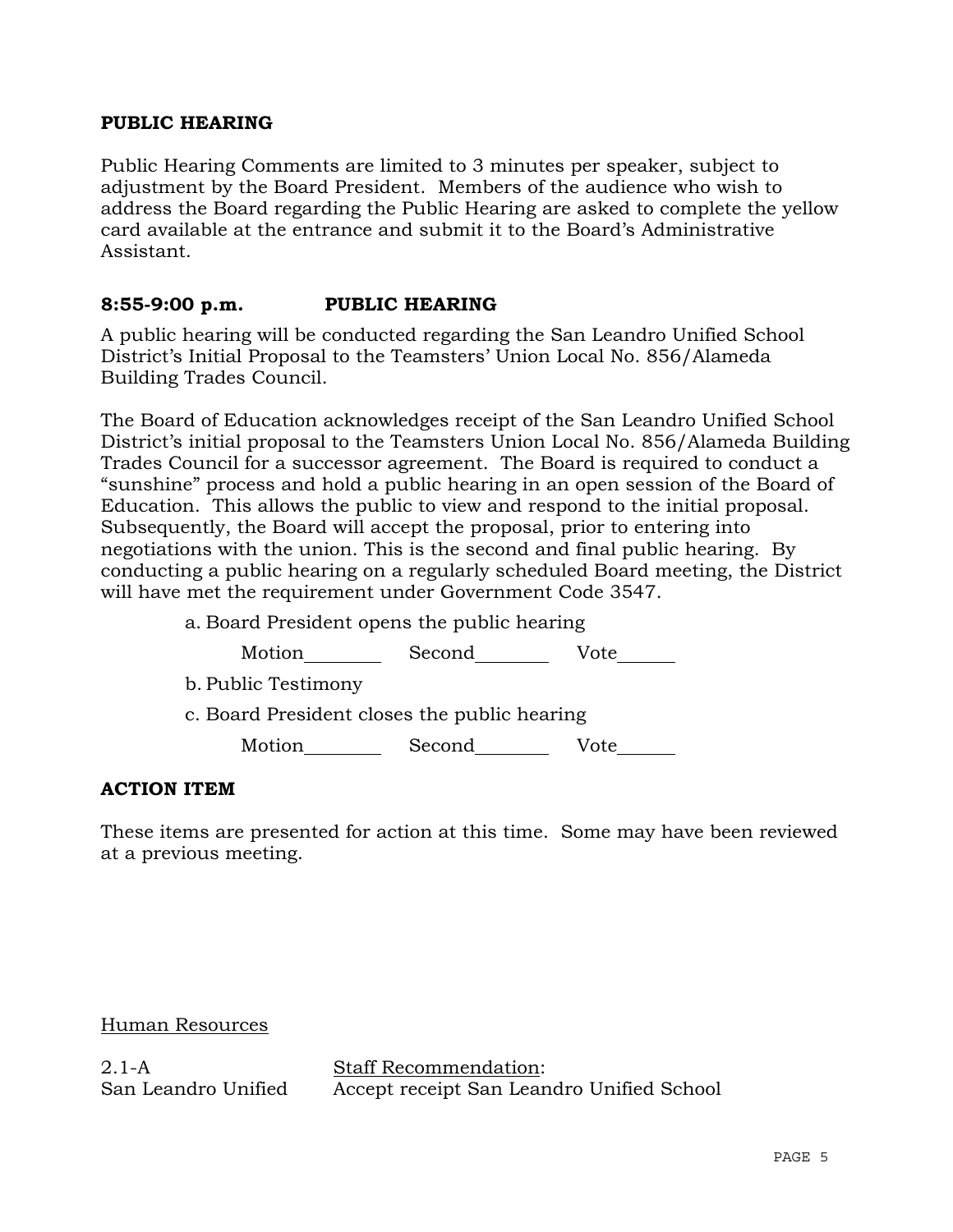#### **PUBLIC HEARING**

Public Hearing Comments are limited to 3 minutes per speaker, subject to adjustment by the Board President. Members of the audience who wish to address the Board regarding the Public Hearing are asked to complete the yellow card available at the entrance and submit it to the Board's Administrative Assistant.

### **8:55-9:00 p.m. PUBLIC HEARING**

A public hearing will be conducted regarding the San Leandro Unified School District's Initial Proposal to the Teamsters' Union Local No. 856/Alameda Building Trades Council.

The Board of Education acknowledges receipt of the San Leandro Unified School District's initial proposal to the Teamsters Union Local No. 856/Alameda Building Trades Council for a successor agreement. The Board is required to conduct a "sunshine" process and hold a public hearing in an open session of the Board of Education. This allows the public to view and respond to the initial proposal. Subsequently, the Board will accept the proposal, prior to entering into negotiations with the union. This is the second and final public hearing. By conducting a public hearing on a regularly scheduled Board meeting, the District will have met the requirement under Government Code 3547.

> a. Board President opens the public hearing Motion Second Vote b. Public Testimony c. Board President closes the public hearing Motion Second Vote

#### **ACTION ITEM**

These items are presented for action at this time. Some may have been reviewed at a previous meeting.

#### Human Resources

2.1-A San Leandro Unified

Staff Recommendation: Accept receipt San Leandro Unified School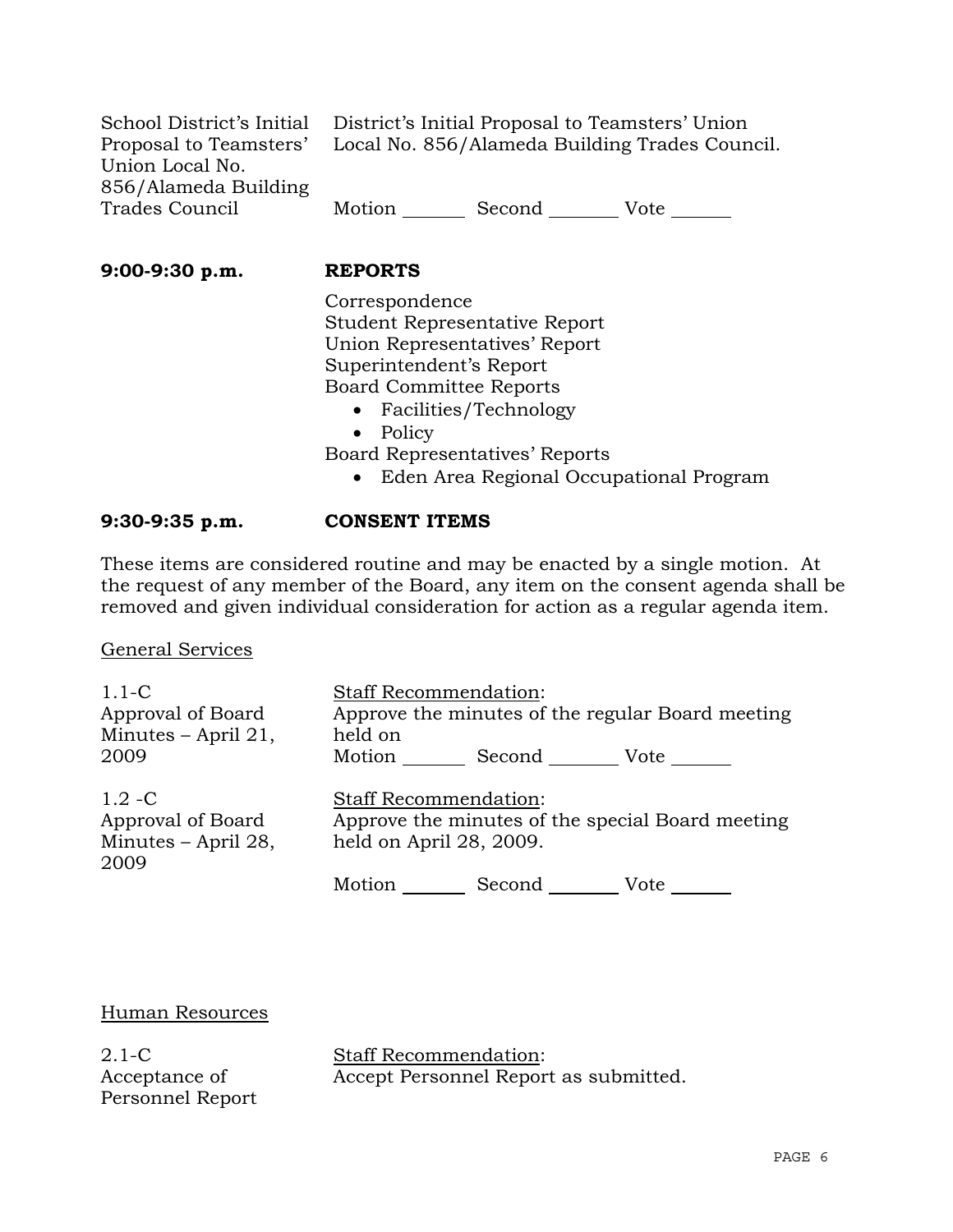| School District's Initial District's Initial Proposal to Teamsters' Union |        |        |      |
|---------------------------------------------------------------------------|--------|--------|------|
| Proposal to Teamsters' Local No. 856/Alameda Building Trades Council.     |        |        |      |
| Union Local No.                                                           |        |        |      |
| 856/Alameda Building                                                      |        |        |      |
| Trades Council                                                            | Motion | Second | Vote |

**9:00-9:30 p.m. REPORTS**

 Correspondence Student Representative Report Union Representatives' Report Superintendent's Report Board Committee Reports

- Facilities/Technology
- Policy

Board Representatives' Reports

• Eden Area Regional Occupational Program

# **9:30-9:35 p.m. CONSENT ITEMS**

These items are considered routine and may be enacted by a single motion. At the request of any member of the Board, any item on the consent agenda shall be removed and given individual consideration for action as a regular agenda item.

General Services

| $1.1-C$               |         | <b>Staff Recommendation:</b> |                                                  |
|-----------------------|---------|------------------------------|--------------------------------------------------|
| Approval of Board     |         |                              | Approve the minutes of the regular Board meeting |
| Minutes $-$ April 21, | held on |                              |                                                  |
| 2009                  | Motion  | Second                       | Vote                                             |
| $1.2 - C$             |         | <b>Staff Recommendation:</b> |                                                  |
| Approval of Board     |         |                              | Approve the minutes of the special Board meeting |
| Minutes - April 28,   |         | held on April 28, 2009.      |                                                  |
| 2009                  |         |                              |                                                  |
|                       | Motion  | Second                       | Vote                                             |

Human Resources

2.1-C Acceptance of Personnel Report Staff Recommendation: Accept Personnel Report as submitted.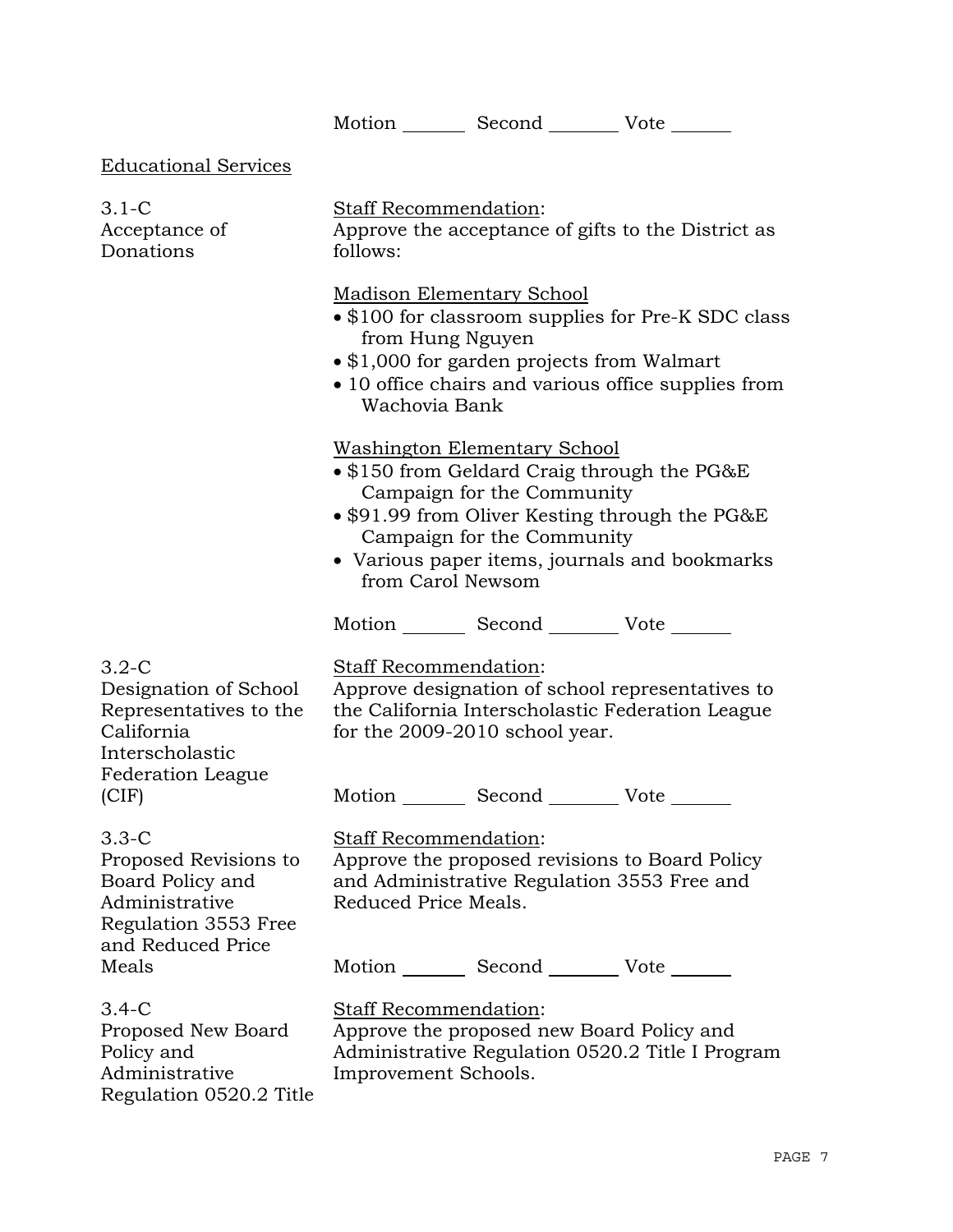Motion \_\_\_\_\_\_\_\_ Second \_\_\_\_\_\_\_\_\_ Vote \_\_\_\_\_\_\_

Educational Services

| $3.1-C$<br>Acceptance of<br>Donations                                                          | <b>Staff Recommendation:</b><br>follows:                                                                                                                                                                                                                                       |  | Approve the acceptance of gifts to the District as                                                   |  |
|------------------------------------------------------------------------------------------------|--------------------------------------------------------------------------------------------------------------------------------------------------------------------------------------------------------------------------------------------------------------------------------|--|------------------------------------------------------------------------------------------------------|--|
|                                                                                                | <b>Madison Elementary School</b><br>• \$100 for classroom supplies for Pre-K SDC class<br>from Hung Nguyen<br>• \$1,000 for garden projects from Walmart<br>• 10 office chairs and various office supplies from<br>Wachovia Bank                                               |  |                                                                                                      |  |
|                                                                                                | <b>Washington Elementary School</b><br>$\bullet$ \$150 from Geldard Craig through the PG&E<br>Campaign for the Community<br>• \$91.99 from Oliver Kesting through the PG&E<br>Campaign for the Community<br>• Various paper items, journals and bookmarks<br>from Carol Newsom |  |                                                                                                      |  |
|                                                                                                |                                                                                                                                                                                                                                                                                |  | Motion _________ Second __________ Vote _______                                                      |  |
| $3.2-C$<br>Designation of School<br>Representatives to the<br>California<br>Interscholastic    | Staff Recommendation:<br>for the 2009-2010 school year.                                                                                                                                                                                                                        |  | Approve designation of school representatives to<br>the California Interscholastic Federation League |  |
| <b>Federation League</b><br>(CIF)                                                              |                                                                                                                                                                                                                                                                                |  | Motion Second Vote                                                                                   |  |
| $3.3-C$<br>Proposed Revisions to<br>Board Policy and<br>Administrative<br>Regulation 3553 Free | <b>Staff Recommendation:</b><br>Reduced Price Meals.                                                                                                                                                                                                                           |  | Approve the proposed revisions to Board Policy<br>and Administrative Regulation 3553 Free and        |  |
| and Reduced Price<br>Meals                                                                     |                                                                                                                                                                                                                                                                                |  | Motion _________ Second __________ Vote _______                                                      |  |
| $3.4-C$<br>Proposed New Board<br>Policy and<br>Administrative<br>Regulation 0520.2 Title       | Staff Recommendation:<br>Improvement Schools.                                                                                                                                                                                                                                  |  | Approve the proposed new Board Policy and<br>Administrative Regulation 0520.2 Title I Program        |  |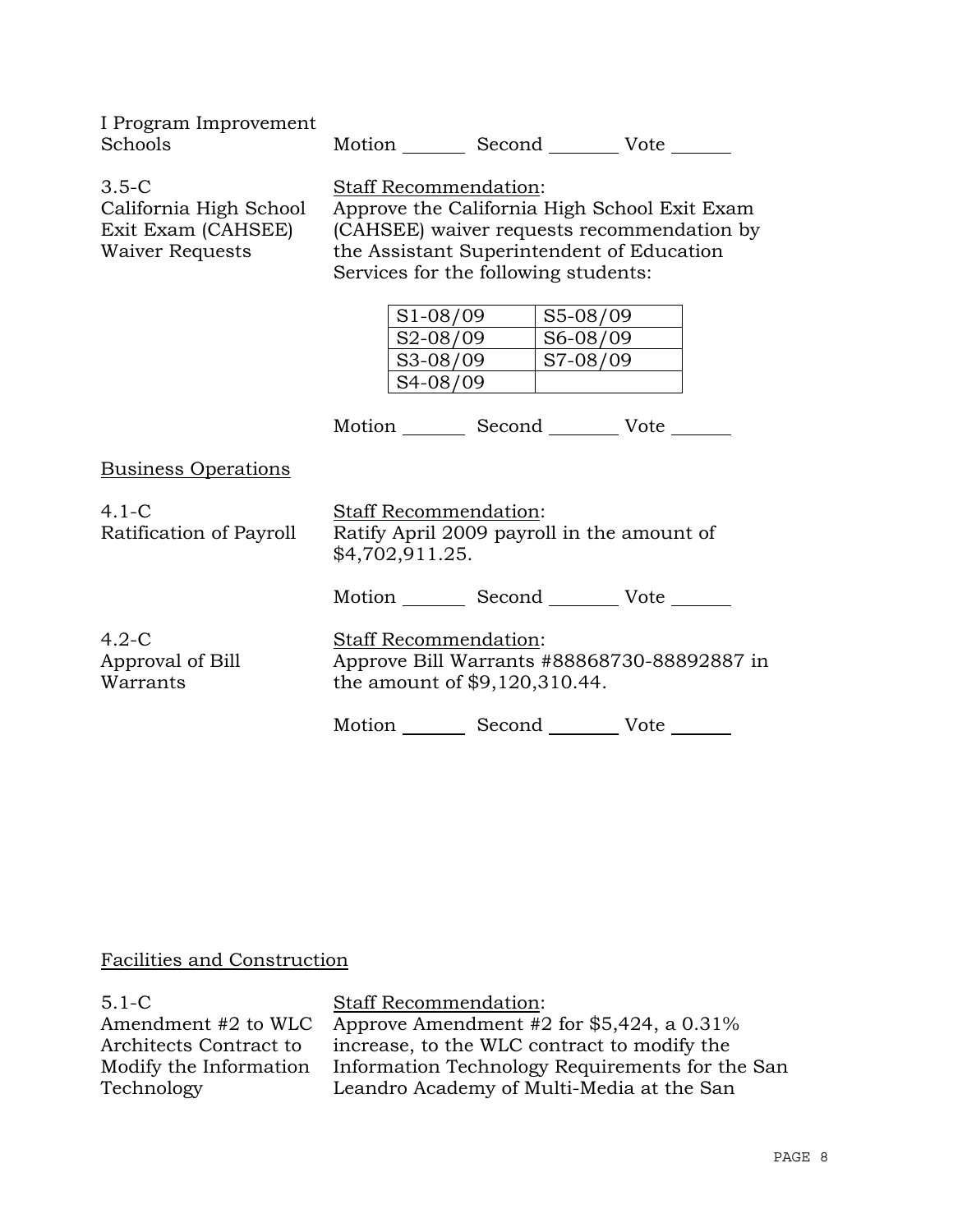| I Program Improvement<br>Schools                                                    | Motion Second Vote                                                                                                                                                                                       |                                  |      |  |
|-------------------------------------------------------------------------------------|----------------------------------------------------------------------------------------------------------------------------------------------------------------------------------------------------------|----------------------------------|------|--|
| $3.5 - C$<br>California High School<br>Exit Exam (CAHSEE)<br><b>Waiver Requests</b> | Staff Recommendation:<br>Approve the California High School Exit Exam<br>(CAHSEE) waiver requests recommendation by<br>the Assistant Superintendent of Education<br>Services for the following students: |                                  |      |  |
|                                                                                     | $S1-08/09$<br>S2-08/09<br>S3-08/09                                                                                                                                                                       | S5-08/09<br>S6-08/09<br>S7-08/09 |      |  |
|                                                                                     | S4-08/09<br>Motion Second Vote ______                                                                                                                                                                    |                                  |      |  |
| <b>Business Operations</b>                                                          |                                                                                                                                                                                                          |                                  |      |  |
| $4.1-C$<br>Ratification of Payroll                                                  | <b>Staff Recommendation:</b><br>Ratify April 2009 payroll in the amount of<br>\$4,702,911.25.                                                                                                            |                                  |      |  |
|                                                                                     | Motion _________ Second __________ Vote _______                                                                                                                                                          |                                  |      |  |
| $4.2 - C$<br>Approval of Bill<br>Warrants                                           | Staff Recommendation:<br>Approve Bill Warrants #88868730-88892887 in<br>the amount of \$9,120,310.44.                                                                                                    |                                  |      |  |
|                                                                                     | Motion                                                                                                                                                                                                   | Second                           | Vote |  |

# Facilities and Construction

| $5.1 - C$              | <b>Staff Recommendation:</b>                    |
|------------------------|-------------------------------------------------|
| Amendment #2 to WLC    | Approve Amendment #2 for $$5,424$ , a 0.31%     |
| Architects Contract to | increase, to the WLC contract to modify the     |
| Modify the Information | Information Technology Requirements for the San |
| Technology             | Leandro Academy of Multi-Media at the San       |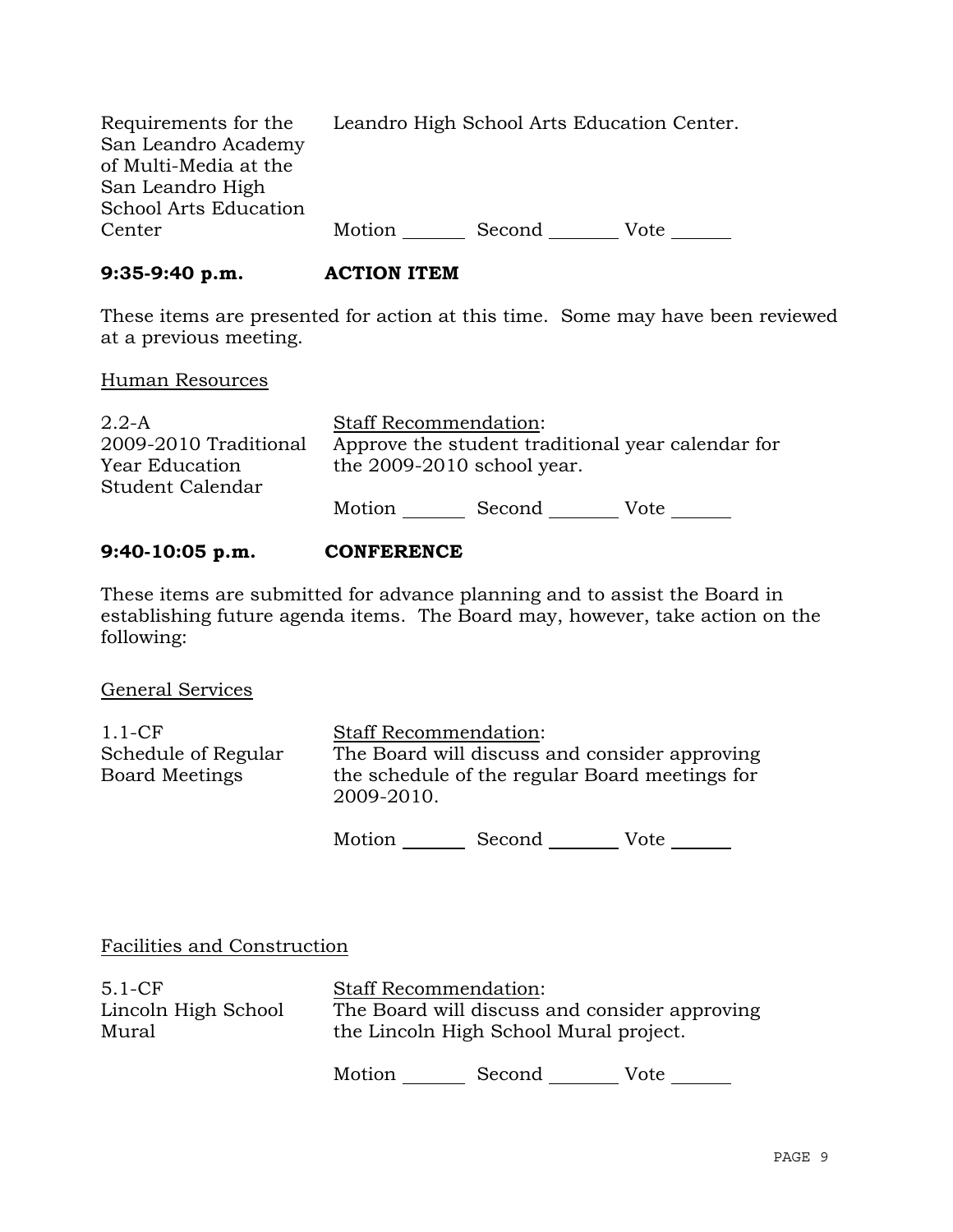| Requirements for the         |        | Leandro High School Arts Education Center. |      |
|------------------------------|--------|--------------------------------------------|------|
| San Leandro Academy          |        |                                            |      |
| of Multi-Media at the        |        |                                            |      |
| San Leandro High             |        |                                            |      |
| <b>School Arts Education</b> |        |                                            |      |
| Center                       | Motion | Second                                     | Vote |

### **9:35-9:40 p.m. ACTION ITEM**

These items are presented for action at this time. Some may have been reviewed at a previous meeting.

#### Human Resources

| $2.2-A$               | <b>Staff Recommendation:</b> |        |                                                   |
|-----------------------|------------------------------|--------|---------------------------------------------------|
| 2009-2010 Traditional |                              |        | Approve the student traditional year calendar for |
| Year Education        | the 2009-2010 school year.   |        |                                                   |
| Student Calendar      |                              |        |                                                   |
|                       | Motion                       | Second | Vote                                              |
|                       |                              |        |                                                   |

# **9:40-10:05 p.m. CONFERENCE**

These items are submitted for advance planning and to assist the Board in establishing future agenda items. The Board may, however, take action on the following:

General Services

| $1.1$ -CF             | <b>Staff Recommendation:</b>                                 |
|-----------------------|--------------------------------------------------------------|
| Schedule of Regular   | The Board will discuss and consider approving                |
| <b>Board Meetings</b> | the schedule of the regular Board meetings for<br>2009-2010. |

Motion Second Vote \_\_\_\_\_\_

# Facilities and Construction

| $5.1-CF$            | <b>Staff Recommendation:</b>                  |
|---------------------|-----------------------------------------------|
| Lincoln High School | The Board will discuss and consider approving |
| Mural               | the Lincoln High School Mural project.        |
|                     |                                               |

Motion Second Vote \_\_\_\_\_\_